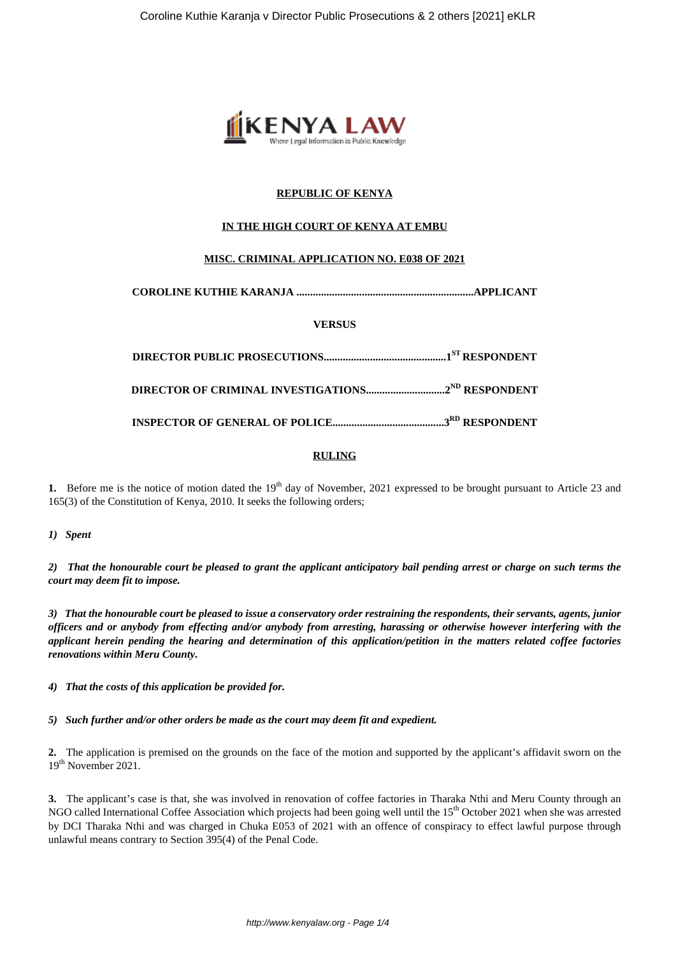

# **REPUBLIC OF KENYA**

# **IN THE HIGH COURT OF KENYA AT EMBU**

# **MISC. CRIMINAL APPLICATION NO. E038 OF 2021**

**COROLINE KUTHIE KARANJA .................................................................APPLICANT**

#### **VERSUS**

#### **RULING**

**1.** Before me is the notice of motion dated the 19<sup>th</sup> day of November, 2021 expressed to be brought pursuant to Article 23 and 165(3) of the Constitution of Kenya, 2010. It seeks the following orders;

*1) Spent*

*2) That the honourable court be pleased to grant the applicant anticipatory bail pending arrest or charge on such terms the court may deem fit to impose.*

*3) That the honourable court be pleased to issue a conservatory order restraining the respondents, their servants, agents, junior officers and or anybody from effecting and/or anybody from arresting, harassing or otherwise however interfering with the applicant herein pending the hearing and determination of this application/petition in the matters related coffee factories renovations within Meru County.*

*4) That the costs of this application be provided for.*

*5) Such further and/or other orders be made as the court may deem fit and expedient.*

**2.** The application is premised on the grounds on the face of the motion and supported by the applicant's affidavit sworn on the 19<sup>th</sup> November 2021.

**3.** The applicant's case is that, she was involved in renovation of coffee factories in Tharaka Nthi and Meru County through an NGO called International Coffee Association which projects had been going well until the 15<sup>th</sup> October 2021 when she was arrested by DCI Tharaka Nthi and was charged in Chuka E053 of 2021 with an offence of conspiracy to effect lawful purpose through unlawful means contrary to Section 395(4) of the Penal Code.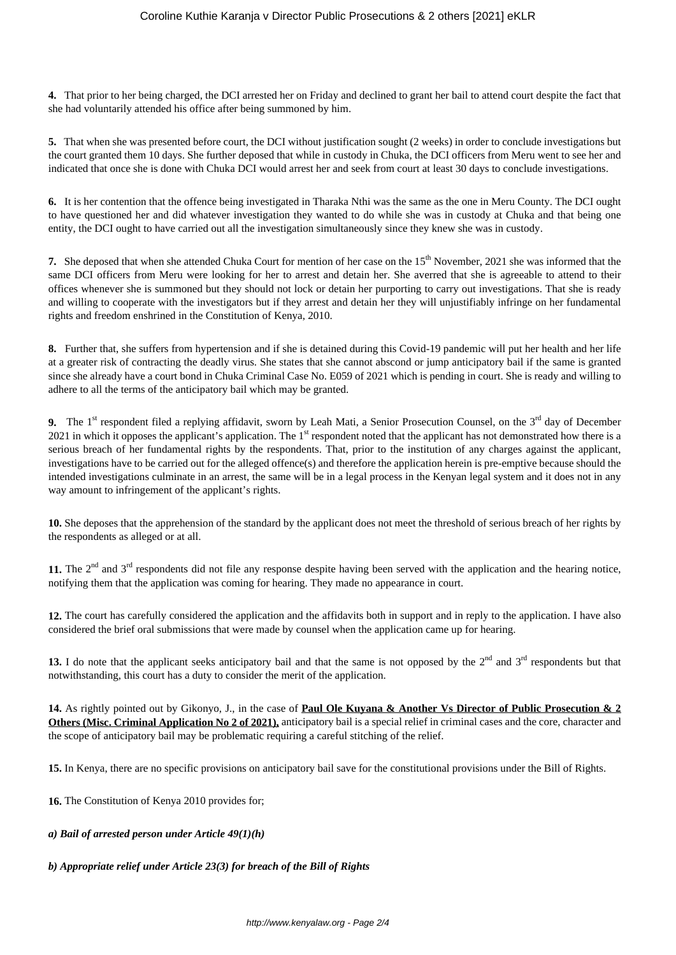**4.** That prior to her being charged, the DCI arrested her on Friday and declined to grant her bail to attend court despite the fact that she had voluntarily attended his office after being summoned by him.

**5.** That when she was presented before court, the DCI without justification sought (2 weeks) in order to conclude investigations but the court granted them 10 days. She further deposed that while in custody in Chuka, the DCI officers from Meru went to see her and indicated that once she is done with Chuka DCI would arrest her and seek from court at least 30 days to conclude investigations.

**6.** It is her contention that the offence being investigated in Tharaka Nthi was the same as the one in Meru County. The DCI ought to have questioned her and did whatever investigation they wanted to do while she was in custody at Chuka and that being one entity, the DCI ought to have carried out all the investigation simultaneously since they knew she was in custody.

**7.** She deposed that when she attended Chuka Court for mention of her case on the 15<sup>th</sup> November, 2021 she was informed that the same DCI officers from Meru were looking for her to arrest and detain her. She averred that she is agreeable to attend to their offices whenever she is summoned but they should not lock or detain her purporting to carry out investigations. That she is ready and willing to cooperate with the investigators but if they arrest and detain her they will unjustifiably infringe on her fundamental rights and freedom enshrined in the Constitution of Kenya, 2010.

**8.** Further that, she suffers from hypertension and if she is detained during this Covid-19 pandemic will put her health and her life at a greater risk of contracting the deadly virus. She states that she cannot abscond or jump anticipatory bail if the same is granted since she already have a court bond in Chuka Criminal Case No. E059 of 2021 which is pending in court. She is ready and willing to adhere to all the terms of the anticipatory bail which may be granted.

**9.** The 1<sup>st</sup> respondent filed a replying affidavit, sworn by Leah Mati, a Senior Prosecution Counsel, on the  $3<sup>rd</sup>$  day of December 2021 in which it opposes the applicant's application. The  $1<sup>st</sup>$  respondent noted that the applicant has not demonstrated how there is a serious breach of her fundamental rights by the respondents. That, prior to the institution of any charges against the applicant, investigations have to be carried out for the alleged offence(s) and therefore the application herein is pre-emptive because should the intended investigations culminate in an arrest, the same will be in a legal process in the Kenyan legal system and it does not in any way amount to infringement of the applicant's rights.

**10.** She deposes that the apprehension of the standard by the applicant does not meet the threshold of serious breach of her rights by the respondents as alleged or at all.

11. The 2<sup>nd</sup> and 3<sup>rd</sup> respondents did not file any response despite having been served with the application and the hearing notice, notifying them that the application was coming for hearing. They made no appearance in court.

**12.** The court has carefully considered the application and the affidavits both in support and in reply to the application. I have also considered the brief oral submissions that were made by counsel when the application came up for hearing.

13. I do note that the applicant seeks anticipatory bail and that the same is not opposed by the  $2<sup>nd</sup>$  and  $3<sup>rd</sup>$  respondents but that notwithstanding, this court has a duty to consider the merit of the application.

**14.** As rightly pointed out by Gikonyo, J., in the case of **Paul Ole Kuyana & Another Vs Director of Public Prosecution & 2 Others (Misc. Criminal Application No 2 of 2021),** anticipatory bail is a special relief in criminal cases and the core, character and the scope of anticipatory bail may be problematic requiring a careful stitching of the relief.

**15.** In Kenya, there are no specific provisions on anticipatory bail save for the constitutional provisions under the Bill of Rights.

**16.** The Constitution of Kenya 2010 provides for;

# *a) Bail of arrested person under Article 49(1)(h)*

# *b) Appropriate relief under Article 23(3) for breach of the Bill of Rights*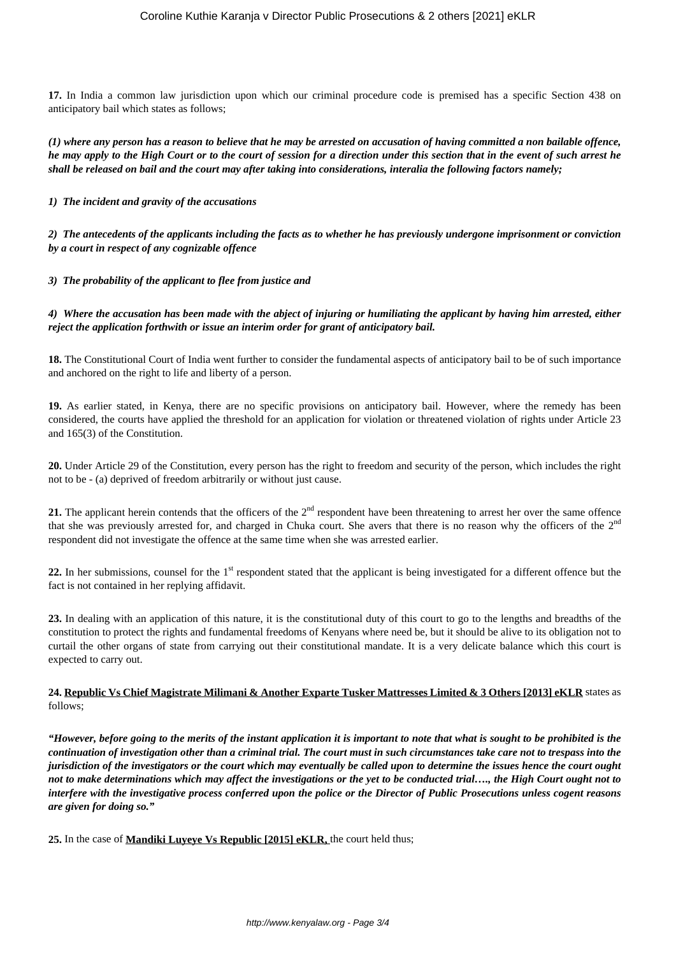**17.** In India a common law jurisdiction upon which our criminal procedure code is premised has a specific Section 438 on anticipatory bail which states as follows;

*(1) where any person has a reason to believe that he may be arrested on accusation of having committed a non bailable offence, he may apply to the High Court or to the court of session for a direction under this section that in the event of such arrest he shall be released on bail and the court may after taking into considerations, interalia the following factors namely;*

*1) The incident and gravity of the accusations*

*2) The antecedents of the applicants including the facts as to whether he has previously undergone imprisonment or conviction by a court in respect of any cognizable offence*

*3) The probability of the applicant to flee from justice and*

*4) Where the accusation has been made with the abject of injuring or humiliating the applicant by having him arrested, either reject the application forthwith or issue an interim order for grant of anticipatory bail.*

**18.** The Constitutional Court of India went further to consider the fundamental aspects of anticipatory bail to be of such importance and anchored on the right to life and liberty of a person.

**19.** As earlier stated, in Kenya, there are no specific provisions on anticipatory bail. However, where the remedy has been considered, the courts have applied the threshold for an application for violation or threatened violation of rights under Article 23 and 165(3) of the Constitution.

**20.** Under Article 29 of the Constitution, every person has the right to freedom and security of the person, which includes the right not to be - (a) deprived of freedom arbitrarily or without just cause.

**21.** The applicant herein contends that the officers of the 2<sup>nd</sup> respondent have been threatening to arrest her over the same offence that she was previously arrested for, and charged in Chuka court. She avers that there is no reason why the officers of the 2<sup>nd</sup> respondent did not investigate the offence at the same time when she was arrested earlier.

**22.** In her submissions, counsel for the 1<sup>st</sup> respondent stated that the applicant is being investigated for a different offence but the fact is not contained in her replying affidavit.

**23.** In dealing with an application of this nature, it is the constitutional duty of this court to go to the lengths and breadths of the constitution to protect the rights and fundamental freedoms of Kenyans where need be, but it should be alive to its obligation not to curtail the other organs of state from carrying out their constitutional mandate. It is a very delicate balance which this court is expected to carry out.

#### **24. Republic Vs Chief Magistrate Milimani & Another Exparte Tusker Mattresses Limited & 3 Others [2013] eKLR** states as follows;

*"However, before going to the merits of the instant application it is important to note that what is sought to be prohibited is the continuation of investigation other than a criminal trial. The court must in such circumstances take care not to trespass into the jurisdiction of the investigators or the court which may eventually be called upon to determine the issues hence the court ought not to make determinations which may affect the investigations or the yet to be conducted trial…., the High Court ought not to interfere with the investigative process conferred upon the police or the Director of Public Prosecutions unless cogent reasons are given for doing so."*

**25.** In the case of **Mandiki Luyeye Vs Republic [2015] eKLR,** the court held thus;